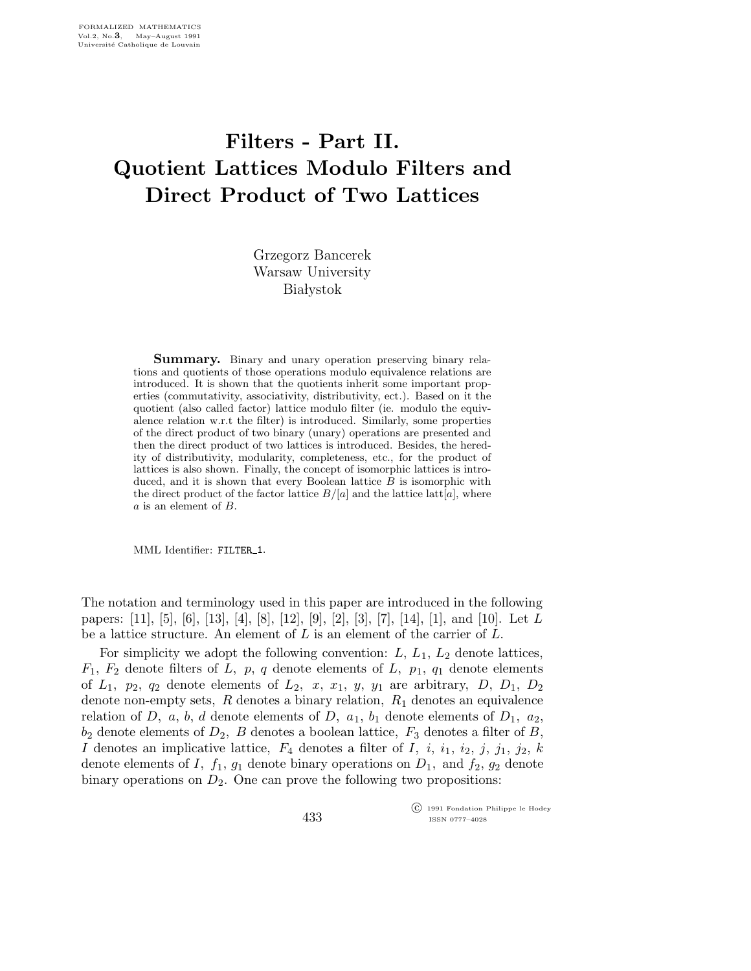## Filters - Part II. Quotient Lattices Modulo Filters and Direct Product of Two Lattices

Grzegorz Bancerek Warsaw University **Białystok** 

Summary. Binary and unary operation preserving binary relations and quotients of those operations modulo equivalence relations are introduced. It is shown that the quotients inherit some important properties (commutativity, associativity, distributivity, ect.). Based on it the quotient (also called factor) lattice modulo filter (ie. modulo the equivalence relation w.r.t the filter) is introduced. Similarly, some properties of the direct product of two binary (unary) operations are presented and then the direct product of two lattices is introduced. Besides, the heredity of distributivity, modularity, completeness, etc., for the product of lattices is also shown. Finally, the concept of isomorphic lattices is introduced, and it is shown that every Boolean lattice  $B$  is isomorphic with the direct product of the factor lattice  $B/[a]$  and the lattice latt $[a]$ , where a is an element of B.

MML Identifier: FILTER 1.

The notation and terminology used in this paper are introduced in the following papers:  $[11]$ ,  $[5]$ ,  $[6]$ ,  $[13]$ ,  $[4]$ ,  $[8]$ ,  $[12]$ ,  $[9]$ ,  $[2]$ ,  $[3]$ ,  $[7]$ ,  $[14]$ ,  $[1]$ , and  $[10]$ . Let L be a lattice structure. An element of  $L$  is an element of the carrier of  $L$ .

For simplicity we adopt the following convention:  $L, L_1, L_2$  denote lattices,  $F_1$ ,  $F_2$  denote filters of L, p, q denote elements of L, p<sub>1</sub>, q<sub>1</sub> denote elements of  $L_1$ ,  $p_2$ ,  $q_2$  denote elements of  $L_2$ ,  $x$ ,  $x_1$ ,  $y$ ,  $y_1$  are arbitrary,  $D$ ,  $D_1$ ,  $D_2$ denote non-empty sets,  $R$  denotes a binary relation,  $R_1$  denotes an equivalence relation of D, a, b, d denote elements of D,  $a_1$ ,  $b_1$  denote elements of  $D_1$ ,  $a_2$ ,  $b_2$  denote elements of  $D_2$ , B denotes a boolean lattice,  $F_3$  denotes a filter of B, I denotes an implicative lattice,  $F_4$  denotes a filter of I, i,  $i_1$ ,  $i_2$ ,  $j$ ,  $j_1$ ,  $j_2$ ,  $k$ denote elements of I,  $f_1$ ,  $g_1$  denote binary operations on  $D_1$ , and  $f_2$ ,  $g_2$  denote binary operations on  $D_2$ . One can prove the following two propositions:

> c 1991 Fondation Philippe le Hodey ISSN 0777–4028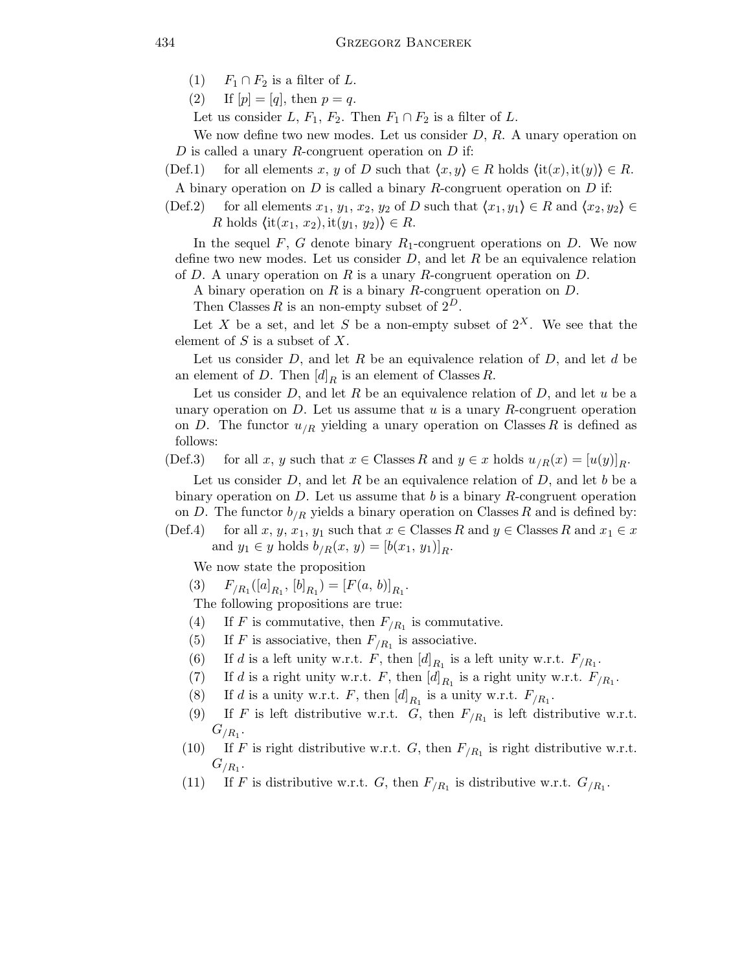- (1)  $F_1 \cap F_2$  is a filter of L.
- (2) If  $[p] = [q]$ , then  $p = q$ .

Let us consider L,  $F_1$ ,  $F_2$ . Then  $F_1 \cap F_2$  is a filter of L.

We now define two new modes. Let us consider  $D, R$ . A unary operation on D is called a unary R-congruent operation on  $D$  if:

(Def.1) for all elements x, y of D such that  $\langle x, y \rangle \in R$  holds  $\langle i t(x), i t(y) \rangle \in R$ .

A binary operation on  $D$  is called a binary  $R$ -congruent operation on  $D$  if:

(Def.2) for all elements  $x_1, y_1, x_2, y_2$  of D such that  $\langle x_1, y_1 \rangle \in R$  and  $\langle x_2, y_2 \rangle \in R$ R holds  $\langle$ it $(x_1, x_2),$  it $(y_1, y_2)$ }  $\in$  R.

In the sequel F, G denote binary  $R_1$ -congruent operations on D. We now define two new modes. Let us consider  $D$ , and let  $R$  be an equivalence relation of  $D$ . A unary operation on  $R$  is a unary  $R$ -congruent operation on  $D$ .

A binary operation on R is a binary R-congruent operation on D.

Then Classes R is an non-empty subset of  $2^D$ .

Let X be a set, and let S be a non-empty subset of  $2^X$ . We see that the element of  $S$  is a subset of  $X$ .

Let us consider  $D$ , and let  $R$  be an equivalence relation of  $D$ , and let  $d$  be an element of D. Then  $[d]_R$  is an element of Classes R.

Let us consider  $D$ , and let  $R$  be an equivalence relation of  $D$ , and let  $u$  be a unary operation on  $D$ . Let us assume that u is a unary R-congruent operation on D. The functor  $u_{R}$  yielding a unary operation on Classes R is defined as follows:

(Def.3) for all x, y such that  $x \in \text{Classes } R$  and  $y \in x$  holds  $u_{/R}(x) = [u(y)]_R$ .

Let us consider  $D$ , and let R be an equivalence relation of  $D$ , and let b be a binary operation on  $D$ . Let us assume that b is a binary R-congruent operation on D. The functor  $b_{/R}$  yields a binary operation on Classes R and is defined by:

(Def.4) for all x, y, x<sub>1</sub>, y<sub>1</sub> such that  $x \in \text{Classes } R$  and  $y \in \text{Classes } R$  and  $x_1 \in x$ and  $y_1 \in y$  holds  $b_{/R}(x, y) = [b(x_1, y_1)]_R$ .

We now state the proposition

(3)  $F_{/R_1}([a]_{R_1}, [b]_{R_1}) = [F(a, b)]_{R_1}.$ 

The following propositions are true:

- (4) If F is commutative, then  $F_{/R_1}$  is commutative.
- (5) If F is associative, then  $F_{/R_1}$  is associative.
- (6) If d is a left unity w.r.t. F, then  $[d]_{R_1}$  is a left unity w.r.t.  $F_{/R_1}$ .
- (7) If d is a right unity w.r.t. F, then  $[d]_{R_1}$  is a right unity w.r.t.  $F_{/R_1}$ .
- (8) If d is a unity w.r.t. F, then  $[d]_{R_1}$  is a unity w.r.t.  $F_{/R_1}$ .
- (9) If F is left distributive w.r.t. G, then  $F_{/R_1}$  is left distributive w.r.t.  $G_{/R_1}.$
- (10) If F is right distributive w.r.t. G, then  $F_{/R_1}$  is right distributive w.r.t.  $G_{/R_1}.$
- (11) If F is distributive w.r.t. G, then  $F_{/R_1}$  is distributive w.r.t.  $G_{/R_1}$ .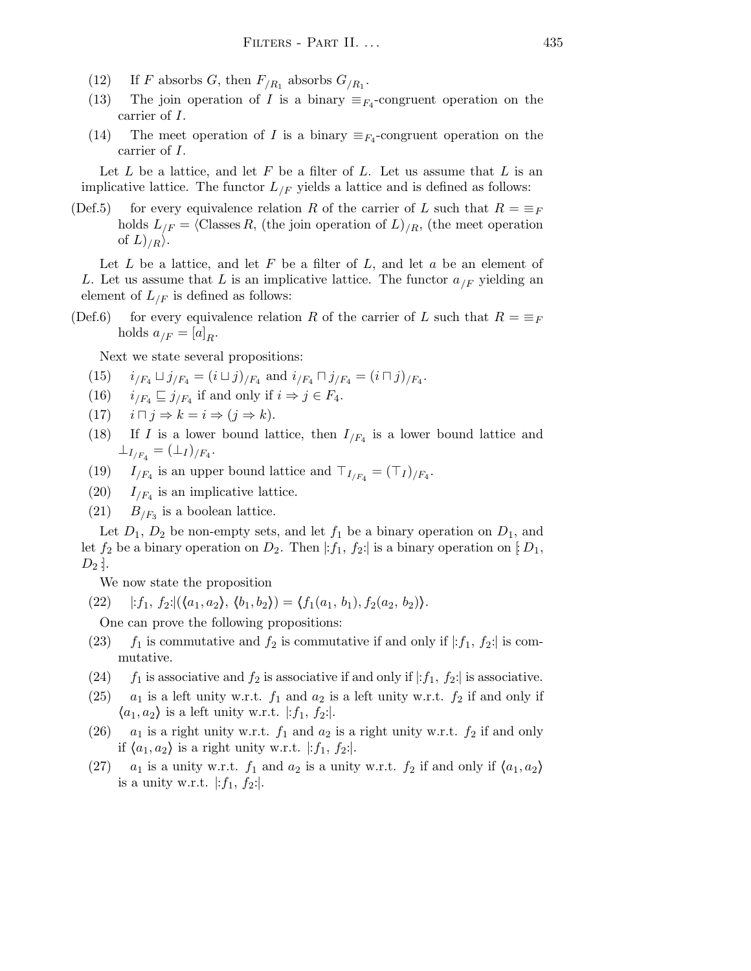- (12) If F absorbs G, then  $F_{/R_1}$  absorbs  $G_{/R_1}$ .
- (13) The join operation of I is a binary  $\equiv_{F_4}$ -congruent operation on the carrier of I.
- (14) The meet operation of I is a binary  $\equiv_{F_4}$ -congruent operation on the carrier of I.

Let  $L$  be a lattice, and let  $F$  be a filter of  $L$ . Let us assume that  $L$  is an implicative lattice. The functor  $L_{\textit{F}}$  yields a lattice and is defined as follows:

(Def.5) for every equivalence relation R of the carrier of L such that  $R = \equiv_F$ holds  $L_{F} = \langle \text{Classes } R, \text{ (the join operation of } L \rangle_{R}, \text{ (the meet operation)} \rangle$ of  $L\rangle_{/R}\rangle$ .

Let  $L$  be a lattice, and let  $F$  be a filter of  $L$ , and let  $a$  be an element of L. Let us assume that L is an implicative lattice. The functor  $a_{F}$  yielding an element of  $L_{\text{F}}$  is defined as follows:

(Def.6) for every equivalence relation R of the carrier of L such that  $R = \equiv_F$ holds  $a_{/F} = [a]_R$ .

Next we state several propositions:

- (15)  $i_{/F_4} \sqcup j_{/F_4} = (i \sqcup j)_{/F_4}$  and  $i_{/F_4} \sqcap j_{/F_4} = (i \sqcap j)_{/F_4}$ .
- (16)  $i_{/F_4} \sqsubseteq j_{/F_4}$  if and only if  $i \Rightarrow j \in F_4$ .
- (17)  $i \sqcap j \Rightarrow k = i \Rightarrow (j \Rightarrow k).$
- (18) If I is a lower bound lattice, then  $I_{/F_4}$  is a lower bound lattice and  $\perp_{I/F_4} = (\perp_I)_{/F_4}.$
- (19)  $I_{/F_4}$  is an upper bound lattice and  $\top_{I_{/F_4}} = (\top_I)_{/F_4}$ .
- (20)  $I_{/F_4}$  is an implicative lattice.
- (21)  $B_{/F_3}$  is a boolean lattice.

Let  $D_1$ ,  $D_2$  be non-empty sets, and let  $f_1$  be a binary operation on  $D_1$ , and let  $f_2$  be a binary operation on  $D_2$ . Then  $|:f_1, f_2:$  is a binary operation on  $[D_1,$  $D_2$  :

We now state the proposition

(22)  $|:f_1, f_2: | (\langle a_1, a_2 \rangle, \langle b_1, b_2 \rangle) = \langle f_1(a_1, b_1), f_2(a_2, b_2) \rangle.$ 

One can prove the following propositions:

- (23)  $f_1$  is commutative and  $f_2$  is commutative if and only if  $|:f_1, f_2:|$  is commutative.
- (24)  $f_1$  is associative and  $f_2$  is associative if and only if  $|:f_1, f_2:$  is associative.
- (25)  $a_1$  is a left unity w.r.t.  $f_1$  and  $a_2$  is a left unity w.r.t.  $f_2$  if and only if  $\langle a_1,a_2 \rangle$  is a left unity w.r.t.  $|:f_1, f_2$ :
- (26)  $a_1$  is a right unity w.r.t.  $f_1$  and  $a_2$  is a right unity w.r.t.  $f_2$  if and only if  $\langle a_1,a_2 \rangle$  is a right unity w.r.t. |:  $f_1, f_2$ :|.
- (27)  $a_1$  is a unity w.r.t.  $f_1$  and  $a_2$  is a unity w.r.t.  $f_2$  if and only if  $\langle a_1, a_2 \rangle$ is a unity w.r.t.  $|:f_1, f_2|$ .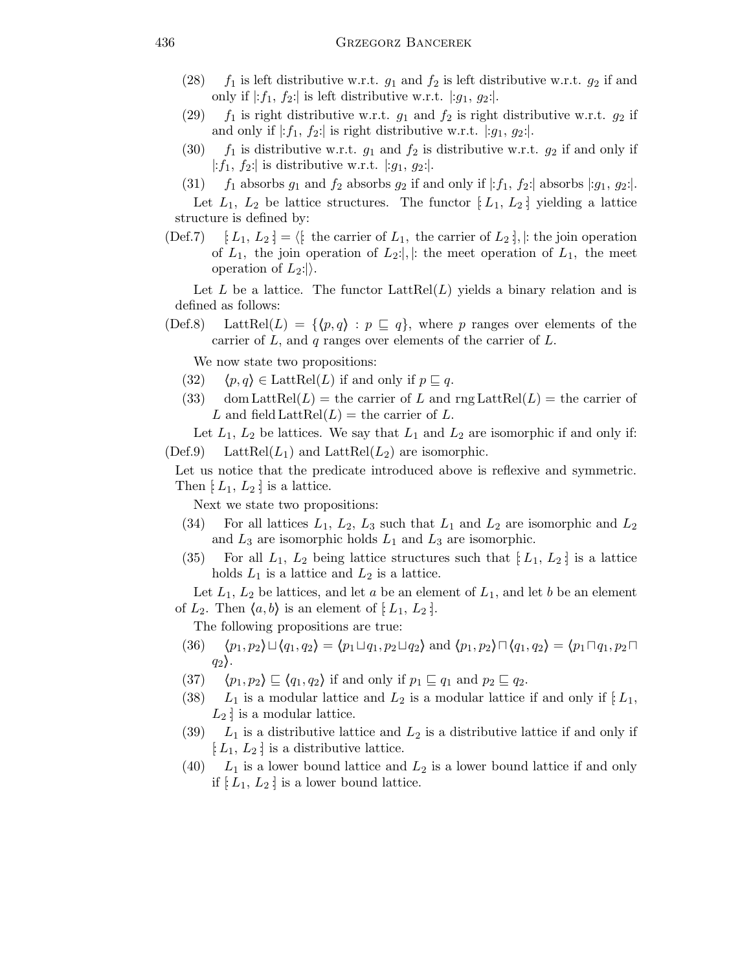- (28)  $f_1$  is left distributive w.r.t.  $g_1$  and  $f_2$  is left distributive w.r.t.  $g_2$  if and only if  $|:f_1, f_2|$  is left distributive w.r.t.  $|:g_1, g_2|$ .
- (29)  $f_1$  is right distributive w.r.t.  $g_1$  and  $f_2$  is right distributive w.r.t.  $g_2$  if and only if  $|:f_1, f_2|$  is right distributive w.r.t.  $|:g_1, g_2|$ .
- (30)  $f_1$  is distributive w.r.t.  $g_1$  and  $f_2$  is distributive w.r.t.  $g_2$  if and only if |: $f_1, f_2$ : is distributive w.r.t. |: $g_1, g_2$ : |.
- (31)  $f_1$  absorbs  $g_1$  and  $f_2$  absorbs  $g_2$  if and only if  $|:f_1, f_2:|$  absorbs  $|:g_1, g_2:|$ .

Let  $L_1$ ,  $L_2$  be lattice structures. The functor  $[L_1, L_2]$  yielding a lattice structure is defined by:

(Def.7)  $[L_1, L_2] = \langle \mathfrak{k} \rangle$  the carrier of  $L_1$ , the carrier of  $L_2$  :  $\mathfrak{k}$  : the join operation of  $L_1$ , the join operation of  $L_2$ : |, |: the meet operation of  $L_1$ , the meet operation of  $L_2$ :

Let L be a lattice. The functor  $LattRel(L)$  yields a binary relation and is defined as follows:

(Def.8) LattRel(L) = { $\{p,q\}$ :  $p \sqsubseteq q$ }, where p ranges over elements of the carrier of  $L$ , and  $q$  ranges over elements of the carrier of  $L$ .

We now state two propositions:

- (32)  $\langle p,q \rangle \in \text{LattRel}(L)$  if and only if  $p \sqsubseteq q$ .
- (33) dom LattRel(L) = the carrier of L and rng LattRel(L) = the carrier of L and field  $\text{LattRel}(L) = \text{the carrier of } L$ .

Let  $L_1$ ,  $L_2$  be lattices. We say that  $L_1$  and  $L_2$  are isomorphic if and only if:  $(Def.9)$  LattRel $(L_1)$  and LattRel $(L_2)$  are isomorphic.

Let us notice that the predicate introduced above is reflexive and symmetric. Then  $[L_1, L_2]$  is a lattice.

Next we state two propositions:

- (34) For all lattices  $L_1$ ,  $L_2$ ,  $L_3$  such that  $L_1$  and  $L_2$  are isomorphic and  $L_2$ and  $L_3$  are isomorphic holds  $L_1$  and  $L_3$  are isomorphic.
- (35) For all  $L_1$ ,  $L_2$  being lattice structures such that  $[L_1, L_2]$  is a lattice holds  $L_1$  is a lattice and  $L_2$  is a lattice.

Let  $L_1, L_2$  be lattices, and let a be an element of  $L_1$ , and let b be an element of  $L_2$ . Then  $\langle a,b \rangle$  is an element of  $[L_1, L_2]$ .

The following propositions are true:

- (36)  $\langle p_1, p_2 \rangle \sqcup \langle q_1, q_2 \rangle = \langle p_1 \sqcup q_1, p_2 \sqcup q_2 \rangle$  and  $\langle p_1, p_2 \rangle \sqcap \langle q_1, q_2 \rangle = \langle p_1 \sqcap q_1, p_2 \sqcap$  $q_2$ .
- (37)  $\langle p_1,p_2 \rangle \sqsubseteq \langle q_1,q_2 \rangle$  if and only if  $p_1 \sqsubseteq q_1$  and  $p_2 \sqsubseteq q_2$ .
- (38)  $L_1$  is a modular lattice and  $L_2$  is a modular lattice if and only if  $[L_1,$  $L_2$ : is a modular lattice.
- (39)  $L_1$  is a distributive lattice and  $L_2$  is a distributive lattice if and only if  $[L_1, L_2]$  is a distributive lattice.
- $(40)$  L<sub>1</sub> is a lower bound lattice and L<sub>2</sub> is a lower bound lattice if and only if  $[L_1, L_2]$  is a lower bound lattice.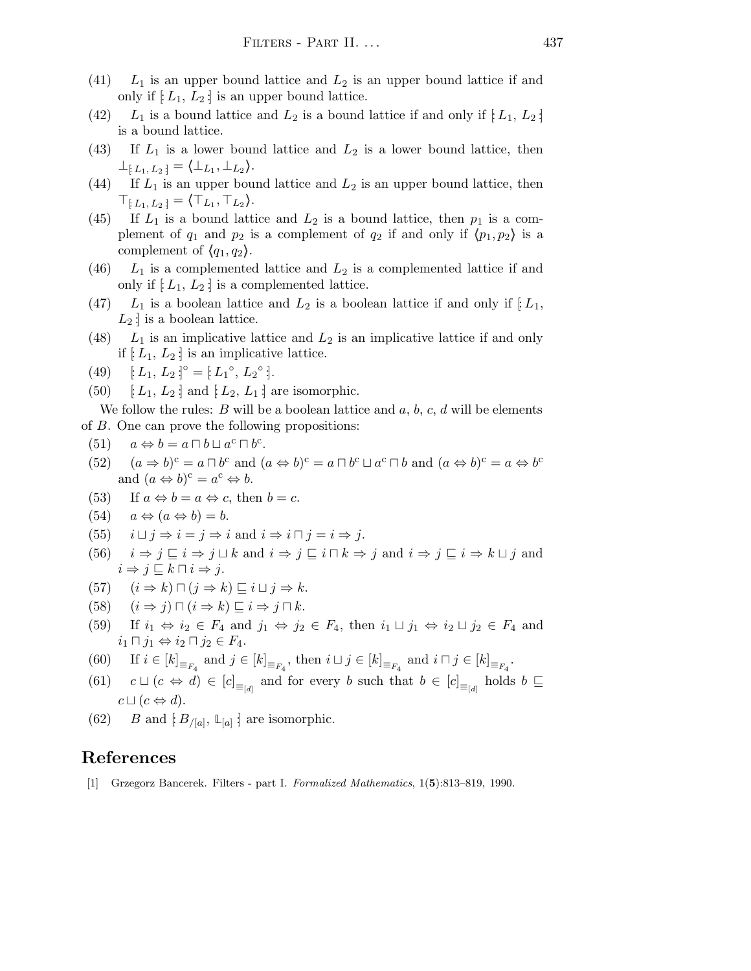- (41)  $L_1$  is an upper bound lattice and  $L_2$  is an upper bound lattice if and only if  $[L_1, L_2]$  is an upper bound lattice.
- (42)  $L_1$  is a bound lattice and  $L_2$  is a bound lattice if and only if  $[L_1, L_2]$ is a bound lattice.
- (43) If  $L_1$  is a lower bound lattice and  $L_2$  is a lower bound lattice, then  $\bot_{\{L_1, L_2\}} = \langle \bot_{L_1}, \bot_{L_2} \rangle.$
- (44) If  $L_1$  is an upper bound lattice and  $L_2$  is an upper bound lattice, then  $\top_{\lbrack L_1, L_2 \rbrack} = \langle \top_{L_1}, \top_{L_2} \rangle.$
- (45) If  $L_1$  is a bound lattice and  $L_2$  is a bound lattice, then  $p_1$  is a complement of  $q_1$  and  $p_2$  is a complement of  $q_2$  if and only if  $\langle p_1, p_2 \rangle$  is a complement of  $\langle q_1,q_2\rangle$ .
- (46)  $L_1$  is a complemented lattice and  $L_2$  is a complemented lattice if and only if  $[L_1, L_2]$  is a complemented lattice.
- (47)  $L_1$  is a boolean lattice and  $L_2$  is a boolean lattice if and only if  $[L_1,$  $L_2$ : is a boolean lattice.
- (48)  $L_1$  is an implicative lattice and  $L_2$  is an implicative lattice if and only if  $[L_1, L_2]$  is an implicative lattice.

(49) 
$$
[L_1, L_2]^{\circ} = [L_1^{\circ}, L_2^{\circ}].
$$

(50)  $\left[ L_1, L_2 \right]$  and  $\left[ L_2, L_1 \right]$  are isomorphic.

We follow the rules: B will be a boolean lattice and  $a, b, c, d$  will be elements of B. One can prove the following propositions:

- (51)  $a \Leftrightarrow b = a \sqcap b \sqcup a^c \sqcap b^c$ .
- (52)  $(a \Rightarrow b)^c = a \sqcap b^c$  and  $(a \Leftrightarrow b)^c = a \sqcap b^c \sqcup a^c \sqcap b$  and  $(a \Leftrightarrow b)^c = a \Leftrightarrow b^c$ and  $(a \Leftrightarrow b)^c = a^c \Leftrightarrow b$ .
- (53) If  $a \Leftrightarrow b = a \Leftrightarrow c$ , then  $b = c$ .
- $(54)$   $a \Leftrightarrow (a \Leftrightarrow b) = b.$
- (55)  $i \sqcup j \Rightarrow i = j \Rightarrow i$  and  $i \Rightarrow i \sqcap j = i \Rightarrow j$ .
- (56)  $i \Rightarrow j \sqsubseteq i \Rightarrow j \sqcup k$  and  $i \Rightarrow j \sqsubseteq i \sqcap k \Rightarrow j$  and  $i \Rightarrow j \sqsubseteq i \Rightarrow k \sqcup j$  and  $i \Rightarrow j \sqsubseteq k \sqcap i \Rightarrow j.$
- (57)  $(i \Rightarrow k) \sqcap (j \Rightarrow k) \sqsubseteq i \sqcup j \Rightarrow k.$
- (58)  $(i \Rightarrow j) \sqcap (i \Rightarrow k) \sqsubseteq i \Rightarrow j \sqcap k$ .
- (59) If  $i_1 \Leftrightarrow i_2 \in F_4$  and  $j_1 \Leftrightarrow j_2 \in F_4$ , then  $i_1 \sqcup j_1 \Leftrightarrow i_2 \sqcup j_2 \in F_4$  and  $i_1 \sqcap j_1 \Leftrightarrow i_2 \sqcap j_2 \in F_4.$
- (60) If  $i \in [k]_{\equiv_{F_4}}$  and  $j \in [k]_{\equiv_{F_4}}$ , then  $i \sqcup j \in [k]_{\equiv_{F_4}}$  and  $i \sqcap j \in [k]_{\equiv_{F_4}}$ .
- (61)  $c \sqcup (c \Leftrightarrow d) \in [c]_{\equiv_{[d]}}$  and for every b such that  $b \in [c]_{\equiv_{[d]}}$  holds  $b \sqsubseteq$  $c \sqcup (c \Leftrightarrow d).$
- (62) *B* and  $[B_{/[a]}, L_{[a]}]$  are isomorphic.

## References

[1] Grzegorz Bancerek. Filters - part I. Formalized Mathematics, 1(5):813–819, 1990.